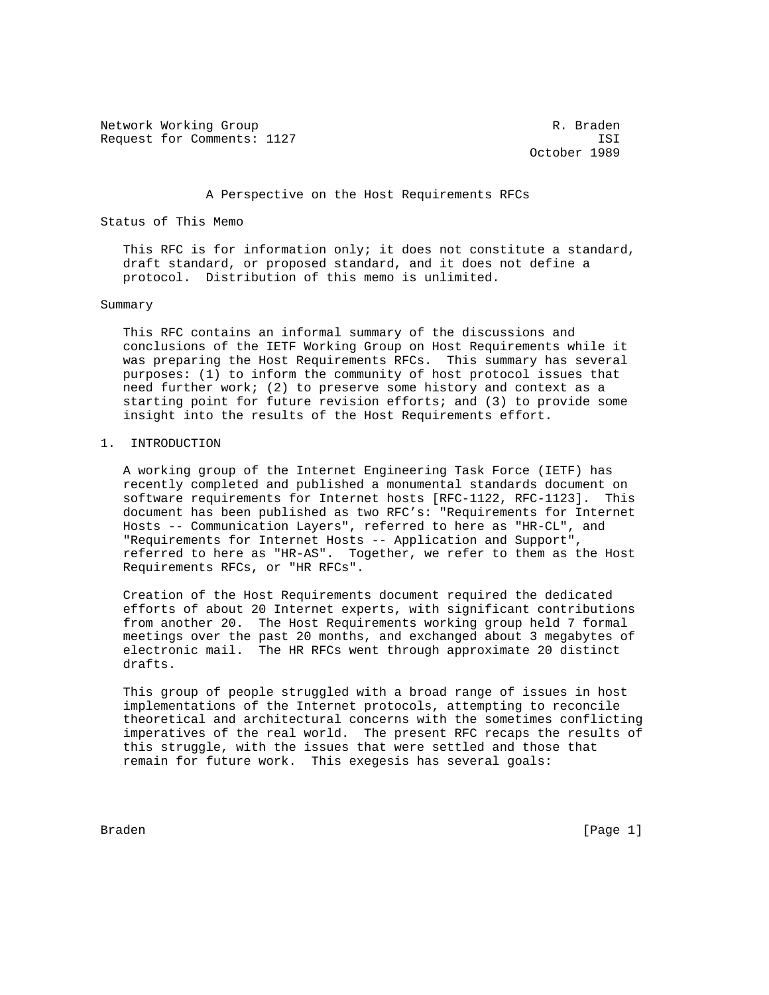Network Working Group and the set of the set of the R. Braden Request for Comments: 1127 ISI

October 1989

### A Perspective on the Host Requirements RFCs

Status of This Memo

 This RFC is for information only; it does not constitute a standard, draft standard, or proposed standard, and it does not define a protocol. Distribution of this memo is unlimited.

### Summary

 This RFC contains an informal summary of the discussions and conclusions of the IETF Working Group on Host Requirements while it was preparing the Host Requirements RFCs. This summary has several purposes: (1) to inform the community of host protocol issues that need further work; (2) to preserve some history and context as a starting point for future revision efforts; and (3) to provide some insight into the results of the Host Requirements effort.

### 1. INTRODUCTION

 A working group of the Internet Engineering Task Force (IETF) has recently completed and published a monumental standards document on software requirements for Internet hosts [RFC-1122, RFC-1123]. This document has been published as two RFC's: "Requirements for Internet Hosts -- Communication Layers", referred to here as "HR-CL", and "Requirements for Internet Hosts -- Application and Support", referred to here as "HR-AS". Together, we refer to them as the Host Requirements RFCs, or "HR RFCs".

 Creation of the Host Requirements document required the dedicated efforts of about 20 Internet experts, with significant contributions from another 20. The Host Requirements working group held 7 formal meetings over the past 20 months, and exchanged about 3 megabytes of electronic mail. The HR RFCs went through approximate 20 distinct drafts.

 This group of people struggled with a broad range of issues in host implementations of the Internet protocols, attempting to reconcile theoretical and architectural concerns with the sometimes conflicting imperatives of the real world. The present RFC recaps the results of this struggle, with the issues that were settled and those that remain for future work. This exegesis has several goals:

Braden [Page 1]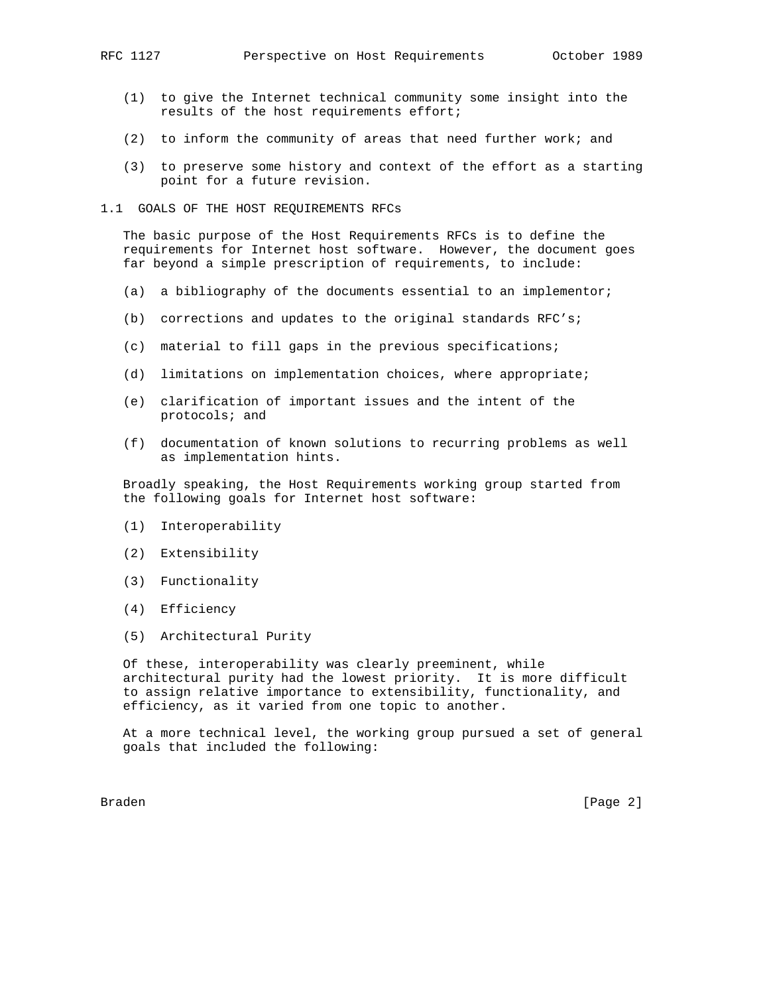- (1) to give the Internet technical community some insight into the results of the host requirements effort;
- (2) to inform the community of areas that need further work; and
- (3) to preserve some history and context of the effort as a starting point for a future revision.
- 1.1 GOALS OF THE HOST REQUIREMENTS RFCs

 The basic purpose of the Host Requirements RFCs is to define the requirements for Internet host software. However, the document goes far beyond a simple prescription of requirements, to include:

- (a) a bibliography of the documents essential to an implementor;
- (b) corrections and updates to the original standards RFC's;
- (c) material to fill gaps in the previous specifications;
- (d) limitations on implementation choices, where appropriate;
- (e) clarification of important issues and the intent of the protocols; and
- (f) documentation of known solutions to recurring problems as well as implementation hints.

 Broadly speaking, the Host Requirements working group started from the following goals for Internet host software:

- (1) Interoperability
- (2) Extensibility
- (3) Functionality
- (4) Efficiency
- (5) Architectural Purity

 Of these, interoperability was clearly preeminent, while architectural purity had the lowest priority. It is more difficult to assign relative importance to extensibility, functionality, and efficiency, as it varied from one topic to another.

 At a more technical level, the working group pursued a set of general goals that included the following:

Braden [Page 2]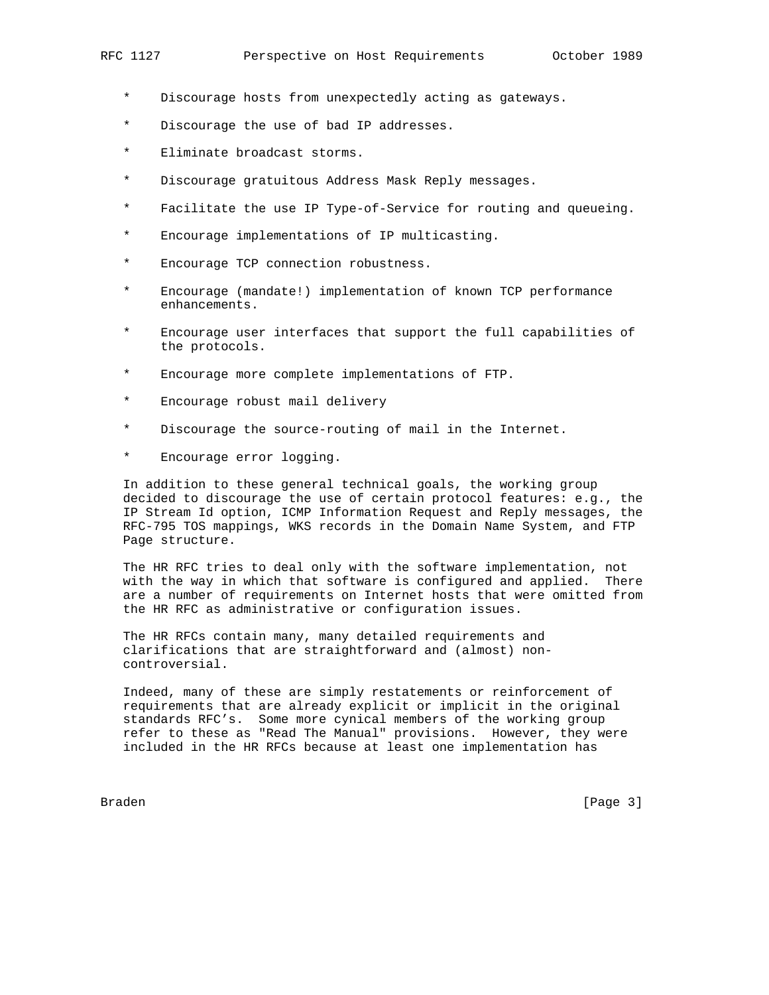- Discourage hosts from unexpectedly acting as gateways.
- \* Discourage the use of bad IP addresses.
- \* Eliminate broadcast storms.
- \* Discourage gratuitous Address Mask Reply messages.
- \* Facilitate the use IP Type-of-Service for routing and queueing.
- \* Encourage implementations of IP multicasting.
- \* Encourage TCP connection robustness.
- \* Encourage (mandate!) implementation of known TCP performance enhancements.
- Encourage user interfaces that support the full capabilities of the protocols.
- \* Encourage more complete implementations of FTP.
- \* Encourage robust mail delivery
- \* Discourage the source-routing of mail in the Internet.
- \* Encourage error logging.

 In addition to these general technical goals, the working group decided to discourage the use of certain protocol features: e.g., the IP Stream Id option, ICMP Information Request and Reply messages, the RFC-795 TOS mappings, WKS records in the Domain Name System, and FTP Page structure.

 The HR RFC tries to deal only with the software implementation, not with the way in which that software is configured and applied. There are a number of requirements on Internet hosts that were omitted from the HR RFC as administrative or configuration issues.

 The HR RFCs contain many, many detailed requirements and clarifications that are straightforward and (almost) non controversial.

 Indeed, many of these are simply restatements or reinforcement of requirements that are already explicit or implicit in the original standards RFC's. Some more cynical members of the working group refer to these as "Read The Manual" provisions. However, they were included in the HR RFCs because at least one implementation has

Braden [Page 3]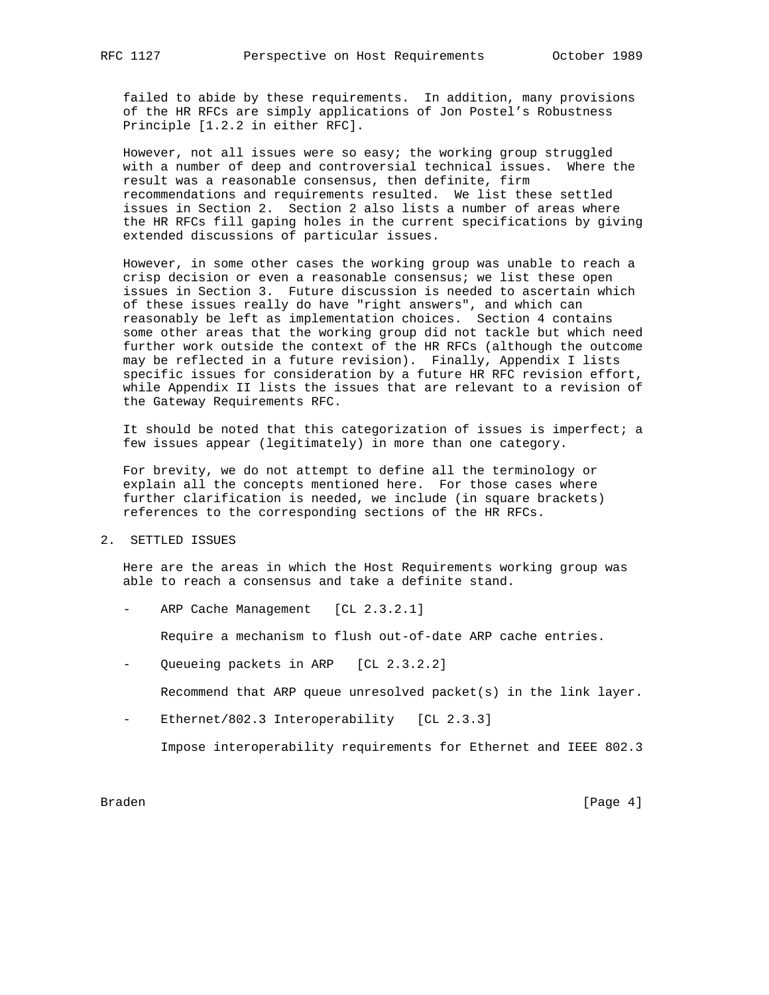failed to abide by these requirements. In addition, many provisions of the HR RFCs are simply applications of Jon Postel's Robustness Principle [1.2.2 in either RFC].

 However, not all issues were so easy; the working group struggled with a number of deep and controversial technical issues. Where the result was a reasonable consensus, then definite, firm recommendations and requirements resulted. We list these settled issues in Section 2. Section 2 also lists a number of areas where the HR RFCs fill gaping holes in the current specifications by giving extended discussions of particular issues.

 However, in some other cases the working group was unable to reach a crisp decision or even a reasonable consensus; we list these open issues in Section 3. Future discussion is needed to ascertain which of these issues really do have "right answers", and which can reasonably be left as implementation choices. Section 4 contains some other areas that the working group did not tackle but which need further work outside the context of the HR RFCs (although the outcome may be reflected in a future revision). Finally, Appendix I lists specific issues for consideration by a future HR RFC revision effort, while Appendix II lists the issues that are relevant to a revision of the Gateway Requirements RFC.

It should be noted that this categorization of issues is imperfect; a few issues appear (legitimately) in more than one category.

 For brevity, we do not attempt to define all the terminology or explain all the concepts mentioned here. For those cases where further clarification is needed, we include (in square brackets) references to the corresponding sections of the HR RFCs.

2. SETTLED ISSUES

 Here are the areas in which the Host Requirements working group was able to reach a consensus and take a definite stand.

ARP Cache Management [CL 2.3.2.1]

Require a mechanism to flush out-of-date ARP cache entries.

Queueing packets in ARP [CL 2.3.2.2]

Recommend that ARP queue unresolved packet(s) in the link layer.

Ethernet/802.3 Interoperability [CL 2.3.3]

Impose interoperability requirements for Ethernet and IEEE 802.3

Braden [Page 4]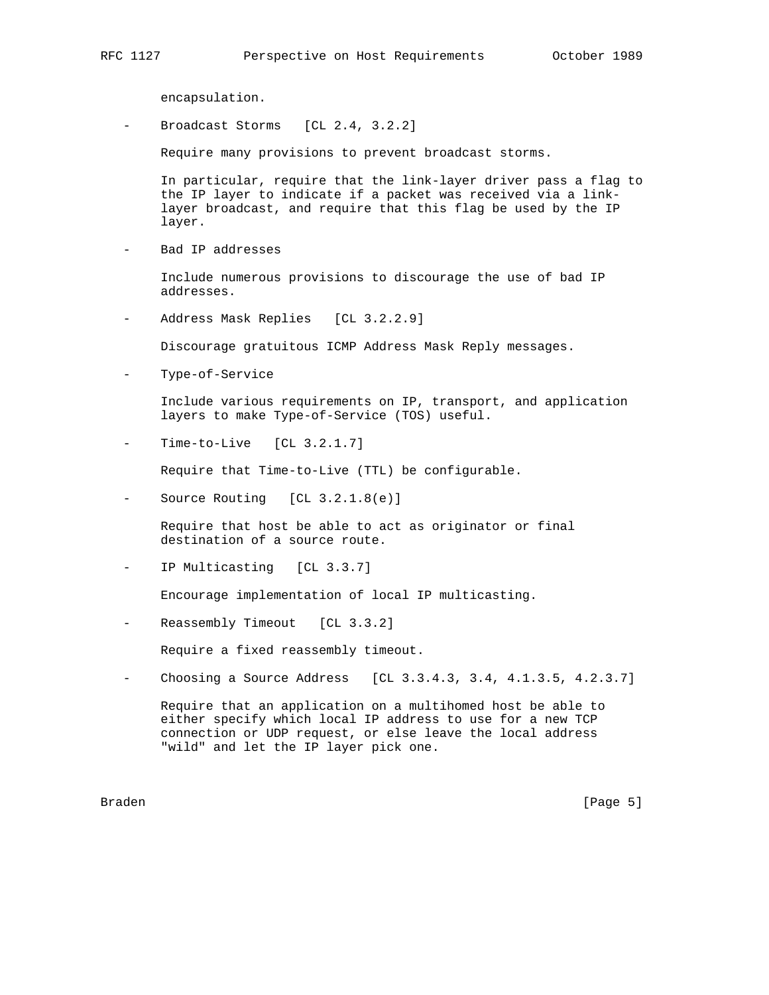encapsulation.

Broadcast Storms [CL 2.4, 3.2.2]

Require many provisions to prevent broadcast storms.

 In particular, require that the link-layer driver pass a flag to the IP layer to indicate if a packet was received via a link layer broadcast, and require that this flag be used by the IP layer.

- Bad IP addresses

 Include numerous provisions to discourage the use of bad IP addresses.

Address Mask Replies [CL 3.2.2.9]

Discourage gratuitous ICMP Address Mask Reply messages.

Type-of-Service

 Include various requirements on IP, transport, and application layers to make Type-of-Service (TOS) useful.

 $Time-to-Live$  [CL  $3.2.1.7$ ]

Require that Time-to-Live (TTL) be configurable.

- Source Routing [CL 3.2.1.8(e)]

 Require that host be able to act as originator or final destination of a source route.

IP Multicasting [CL 3.3.7]

Encourage implementation of local IP multicasting.

Reassembly Timeout [CL 3.3.2]

Require a fixed reassembly timeout.

Choosing a Source Address [CL 3.3.4.3, 3.4, 4.1.3.5, 4.2.3.7]

 Require that an application on a multihomed host be able to either specify which local IP address to use for a new TCP connection or UDP request, or else leave the local address "wild" and let the IP layer pick one.

Braden [Page 5]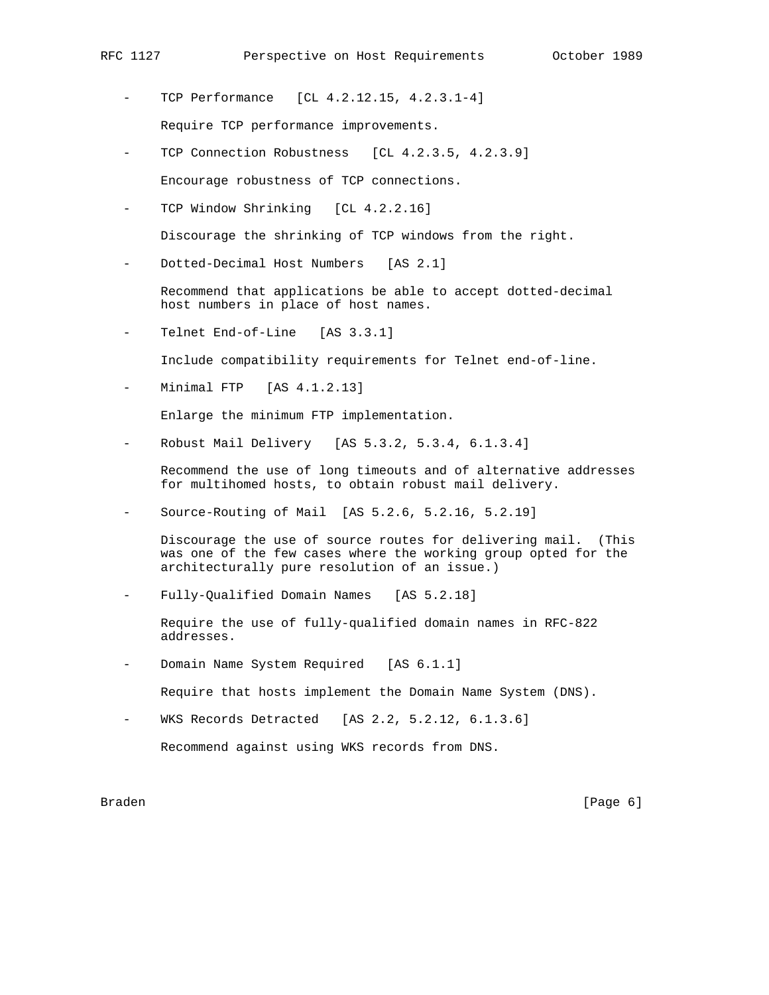- TCP Performance [CL 4.2.12.15, 4.2.3.1-4] Require TCP performance improvements.
- TCP Connection Robustness [CL 4.2.3.5, 4.2.3.9] Encourage robustness of TCP connections.
- TCP Window Shrinking [CL 4.2.2.16]

Discourage the shrinking of TCP windows from the right.

Dotted-Decimal Host Numbers [AS 2.1]

 Recommend that applications be able to accept dotted-decimal host numbers in place of host names.

Telnet End-of-Line [AS 3.3.1]

Include compatibility requirements for Telnet end-of-line.

Minimal FTP [AS 4.1.2.13]

Enlarge the minimum FTP implementation.

Robust Mail Delivery [AS 5.3.2, 5.3.4, 6.1.3.4]

 Recommend the use of long timeouts and of alternative addresses for multihomed hosts, to obtain robust mail delivery.

- Source-Routing of Mail [AS 5.2.6, 5.2.16, 5.2.19]

 Discourage the use of source routes for delivering mail. (This was one of the few cases where the working group opted for the architecturally pure resolution of an issue.)

Fully-Qualified Domain Names [AS 5.2.18]

 Require the use of fully-qualified domain names in RFC-822 addresses.

Domain Name System Required [AS 6.1.1]

Require that hosts implement the Domain Name System (DNS).

WKS Records Detracted [AS 2.2, 5.2.12, 6.1.3.6]

Recommend against using WKS records from DNS.

Braden [Page 6]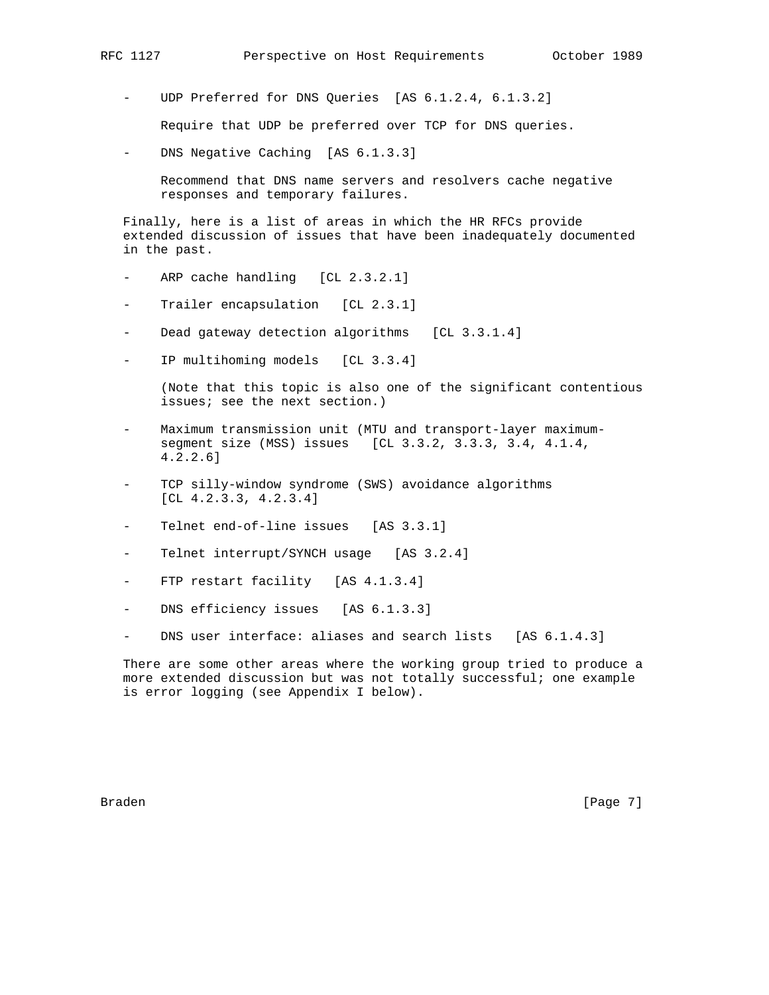UDP Preferred for DNS Queries [AS 6.1.2.4, 6.1.3.2]

Require that UDP be preferred over TCP for DNS queries.

- DNS Negative Caching [AS 6.1.3.3]

 Recommend that DNS name servers and resolvers cache negative responses and temporary failures.

 Finally, here is a list of areas in which the HR RFCs provide extended discussion of issues that have been inadequately documented in the past.

- ARP cache handling [CL 2.3.2.1]
- Trailer encapsulation [CL 2.3.1]
- Dead gateway detection algorithms [CL 3.3.1.4]
- IP multihoming models [CL 3.3.4]

 (Note that this topic is also one of the significant contentious issues; see the next section.)

- Maximum transmission unit (MTU and transport-layer maximum segment size (MSS) issues [CL 3.3.2, 3.3.3, 3.4, 4.1.4, 4.2.2.6]
- TCP silly-window syndrome (SWS) avoidance algorithms [CL 4.2.3.3, 4.2.3.4]
- Telnet end-of-line issues [AS 3.3.1]
- Telnet interrupt/SYNCH usage [AS 3.2.4]
- FTP restart facility [AS 4.1.3.4]
- DNS efficiency issues [AS 6.1.3.3]
- DNS user interface: aliases and search lists [AS 6.1.4.3]

 There are some other areas where the working group tried to produce a more extended discussion but was not totally successful; one example is error logging (see Appendix I below).

Braden **Example 19** (Page 7)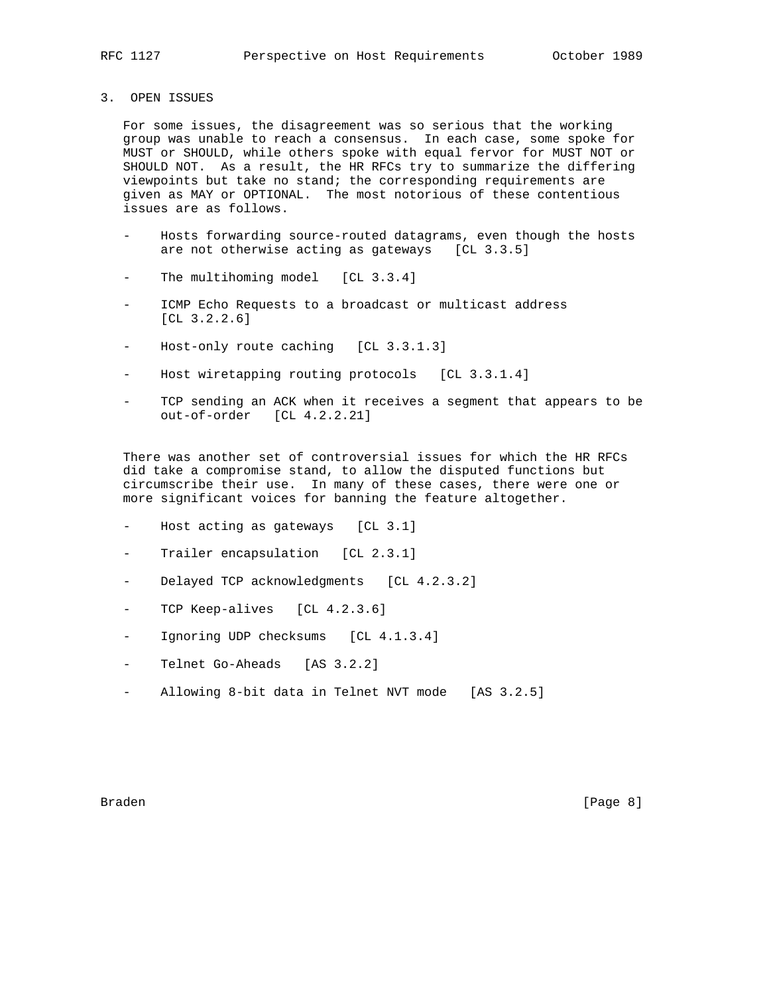# 3. OPEN ISSUES

 For some issues, the disagreement was so serious that the working group was unable to reach a consensus. In each case, some spoke for MUST or SHOULD, while others spoke with equal fervor for MUST NOT or SHOULD NOT. As a result, the HR RFCs try to summarize the differing viewpoints but take no stand; the corresponding requirements are given as MAY or OPTIONAL. The most notorious of these contentious issues are as follows.

- Hosts forwarding source-routed datagrams, even though the hosts are not otherwise acting as gateways [CL 3.3.5]
- The multihoming model [CL 3.3.4]
- ICMP Echo Requests to a broadcast or multicast address [CL 3.2.2.6]
- Host-only route caching [CL 3.3.1.3]
- Host wiretapping routing protocols [CL 3.3.1.4]
- TCP sending an ACK when it receives a segment that appears to be out-of-order [CL 4.2.2.21]

 There was another set of controversial issues for which the HR RFCs did take a compromise stand, to allow the disputed functions but circumscribe their use. In many of these cases, there were one or more significant voices for banning the feature altogether.

- Host acting as gateways [CL 3.1]
- Trailer encapsulation [CL 2.3.1]
- Delayed TCP acknowledgments [CL 4.2.3.2]
- TCP Keep-alives [CL 4.2.3.6]
- Ignoring UDP checksums [CL 4.1.3.4]
- Telnet Go-Aheads [AS 3.2.2]
- Allowing 8-bit data in Telnet NVT mode [AS 3.2.5]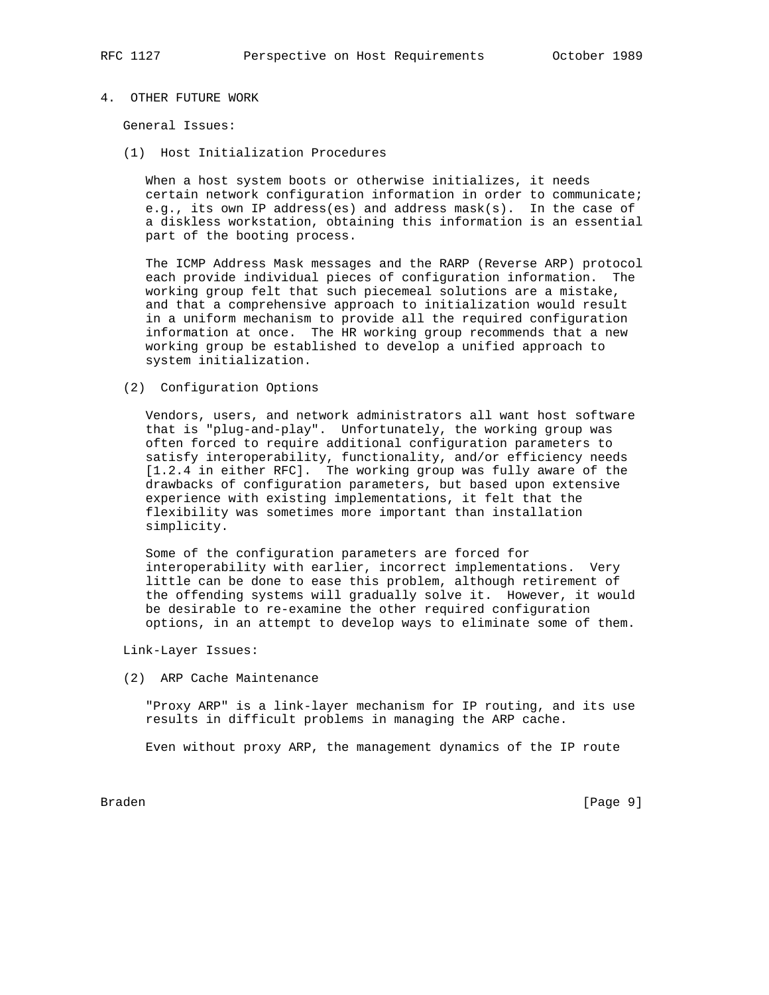# 4. OTHER FUTURE WORK

General Issues:

(1) Host Initialization Procedures

 When a host system boots or otherwise initializes, it needs certain network configuration information in order to communicate; e.g., its own IP address(es) and address mask(s). In the case of a diskless workstation, obtaining this information is an essential part of the booting process.

 The ICMP Address Mask messages and the RARP (Reverse ARP) protocol each provide individual pieces of configuration information. The working group felt that such piecemeal solutions are a mistake, and that a comprehensive approach to initialization would result in a uniform mechanism to provide all the required configuration information at once. The HR working group recommends that a new working group be established to develop a unified approach to system initialization.

(2) Configuration Options

 Vendors, users, and network administrators all want host software that is "plug-and-play". Unfortunately, the working group was often forced to require additional configuration parameters to satisfy interoperability, functionality, and/or efficiency needs [1.2.4 in either RFC]. The working group was fully aware of the drawbacks of configuration parameters, but based upon extensive experience with existing implementations, it felt that the flexibility was sometimes more important than installation simplicity.

 Some of the configuration parameters are forced for interoperability with earlier, incorrect implementations. Very little can be done to ease this problem, although retirement of the offending systems will gradually solve it. However, it would be desirable to re-examine the other required configuration options, in an attempt to develop ways to eliminate some of them.

Link-Layer Issues:

(2) ARP Cache Maintenance

 "Proxy ARP" is a link-layer mechanism for IP routing, and its use results in difficult problems in managing the ARP cache.

Even without proxy ARP, the management dynamics of the IP route

Braden [Page 9]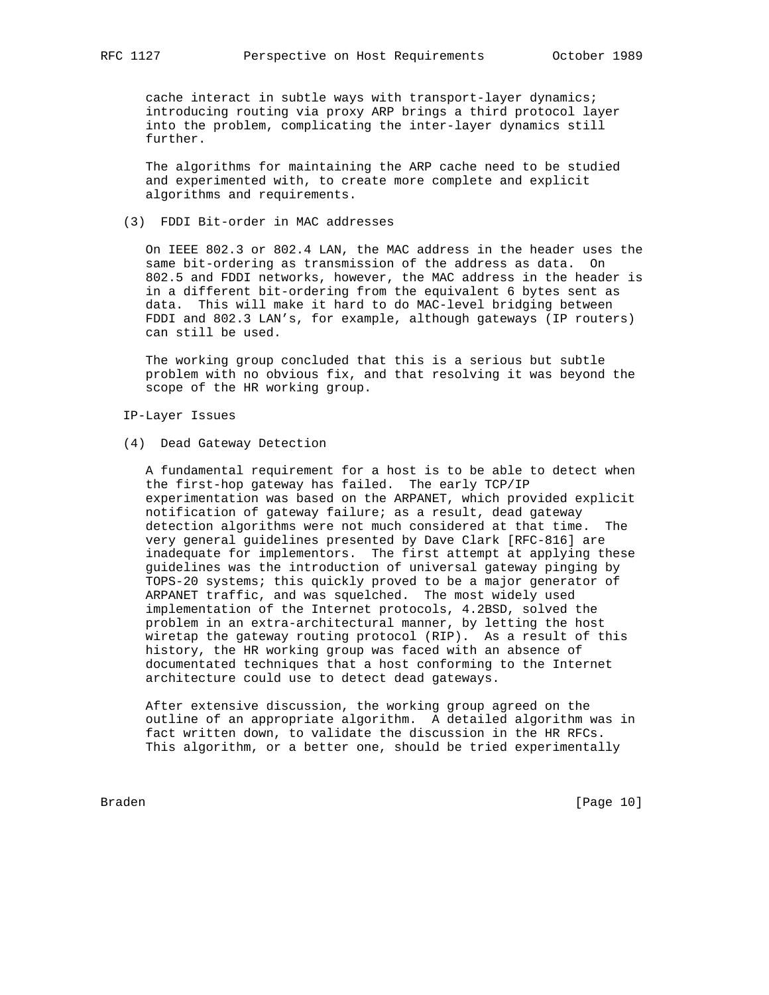cache interact in subtle ways with transport-layer dynamics; introducing routing via proxy ARP brings a third protocol layer into the problem, complicating the inter-layer dynamics still further.

 The algorithms for maintaining the ARP cache need to be studied and experimented with, to create more complete and explicit algorithms and requirements.

# (3) FDDI Bit-order in MAC addresses

 On IEEE 802.3 or 802.4 LAN, the MAC address in the header uses the same bit-ordering as transmission of the address as data. On 802.5 and FDDI networks, however, the MAC address in the header is in a different bit-ordering from the equivalent 6 bytes sent as data. This will make it hard to do MAC-level bridging between FDDI and 802.3 LAN's, for example, although gateways (IP routers) can still be used.

 The working group concluded that this is a serious but subtle problem with no obvious fix, and that resolving it was beyond the scope of the HR working group.

### IP-Layer Issues

(4) Dead Gateway Detection

 A fundamental requirement for a host is to be able to detect when the first-hop gateway has failed. The early TCP/IP experimentation was based on the ARPANET, which provided explicit notification of gateway failure; as a result, dead gateway detection algorithms were not much considered at that time. The very general guidelines presented by Dave Clark [RFC-816] are inadequate for implementors. The first attempt at applying these guidelines was the introduction of universal gateway pinging by TOPS-20 systems; this quickly proved to be a major generator of ARPANET traffic, and was squelched. The most widely used implementation of the Internet protocols, 4.2BSD, solved the problem in an extra-architectural manner, by letting the host wiretap the gateway routing protocol (RIP). As a result of this history, the HR working group was faced with an absence of documentated techniques that a host conforming to the Internet architecture could use to detect dead gateways.

 After extensive discussion, the working group agreed on the outline of an appropriate algorithm. A detailed algorithm was in fact written down, to validate the discussion in the HR RFCs. This algorithm, or a better one, should be tried experimentally

Braden [Page 10]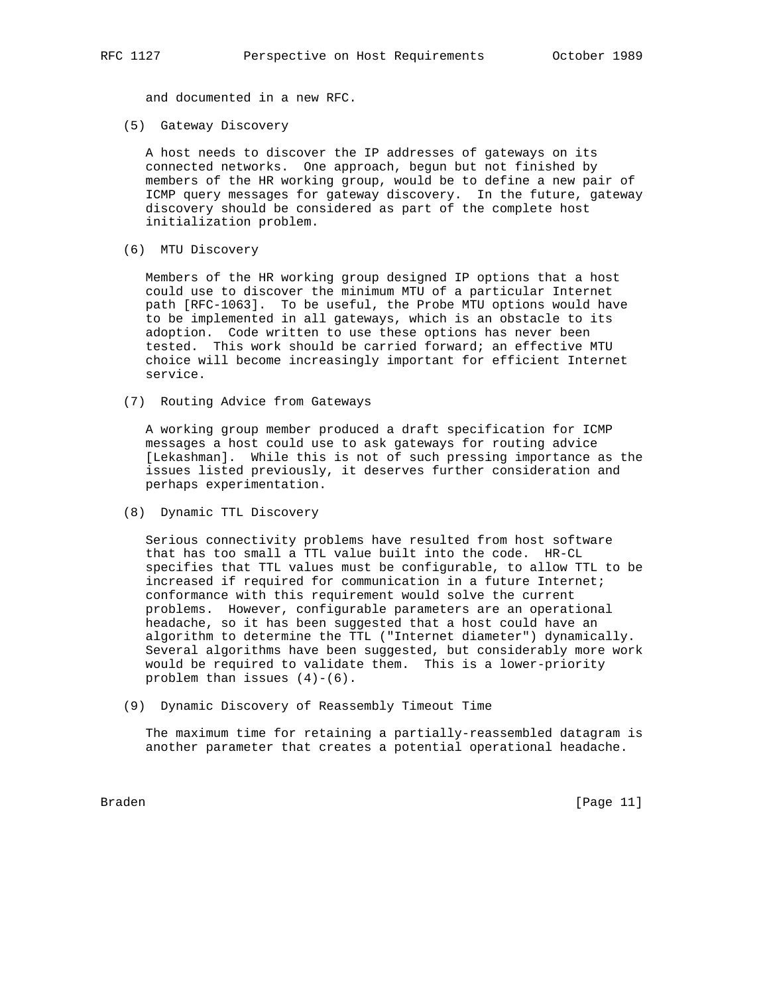and documented in a new RFC.

(5) Gateway Discovery

 A host needs to discover the IP addresses of gateways on its connected networks. One approach, begun but not finished by members of the HR working group, would be to define a new pair of ICMP query messages for gateway discovery. In the future, gateway discovery should be considered as part of the complete host initialization problem.

(6) MTU Discovery

 Members of the HR working group designed IP options that a host could use to discover the minimum MTU of a particular Internet path [RFC-1063]. To be useful, the Probe MTU options would have to be implemented in all gateways, which is an obstacle to its adoption. Code written to use these options has never been tested. This work should be carried forward; an effective MTU choice will become increasingly important for efficient Internet service.

(7) Routing Advice from Gateways

 A working group member produced a draft specification for ICMP messages a host could use to ask gateways for routing advice [Lekashman]. While this is not of such pressing importance as the issues listed previously, it deserves further consideration and perhaps experimentation.

(8) Dynamic TTL Discovery

 Serious connectivity problems have resulted from host software that has too small a TTL value built into the code. HR-CL specifies that TTL values must be configurable, to allow TTL to be increased if required for communication in a future Internet; conformance with this requirement would solve the current problems. However, configurable parameters are an operational headache, so it has been suggested that a host could have an algorithm to determine the TTL ("Internet diameter") dynamically. Several algorithms have been suggested, but considerably more work would be required to validate them. This is a lower-priority problem than issues  $(4)-(6)$ .

(9) Dynamic Discovery of Reassembly Timeout Time

 The maximum time for retaining a partially-reassembled datagram is another parameter that creates a potential operational headache.

Braden [Page 11]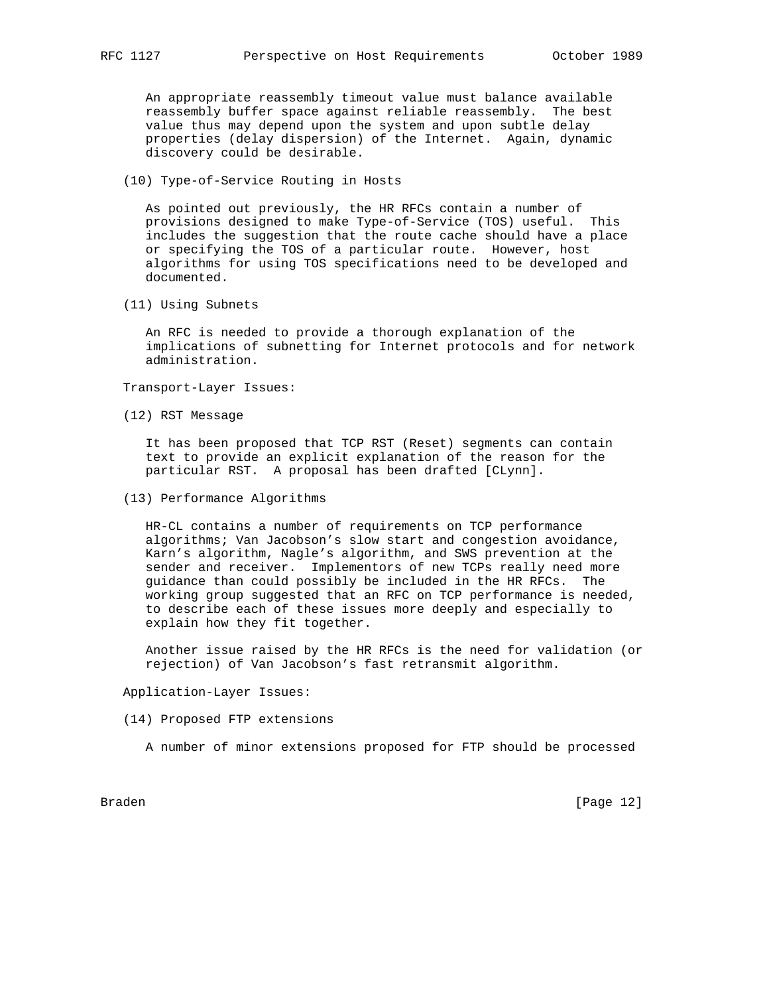An appropriate reassembly timeout value must balance available reassembly buffer space against reliable reassembly. The best value thus may depend upon the system and upon subtle delay properties (delay dispersion) of the Internet. Again, dynamic discovery could be desirable.

(10) Type-of-Service Routing in Hosts

 As pointed out previously, the HR RFCs contain a number of provisions designed to make Type-of-Service (TOS) useful. This includes the suggestion that the route cache should have a place or specifying the TOS of a particular route. However, host algorithms for using TOS specifications need to be developed and documented.

(11) Using Subnets

 An RFC is needed to provide a thorough explanation of the implications of subnetting for Internet protocols and for network administration.

Transport-Layer Issues:

(12) RST Message

 It has been proposed that TCP RST (Reset) segments can contain text to provide an explicit explanation of the reason for the particular RST. A proposal has been drafted [CLynn].

(13) Performance Algorithms

 HR-CL contains a number of requirements on TCP performance algorithms; Van Jacobson's slow start and congestion avoidance, Karn's algorithm, Nagle's algorithm, and SWS prevention at the sender and receiver. Implementors of new TCPs really need more guidance than could possibly be included in the HR RFCs. The working group suggested that an RFC on TCP performance is needed, to describe each of these issues more deeply and especially to explain how they fit together.

 Another issue raised by the HR RFCs is the need for validation (or rejection) of Van Jacobson's fast retransmit algorithm.

Application-Layer Issues:

(14) Proposed FTP extensions

A number of minor extensions proposed for FTP should be processed

Braden [Page 12]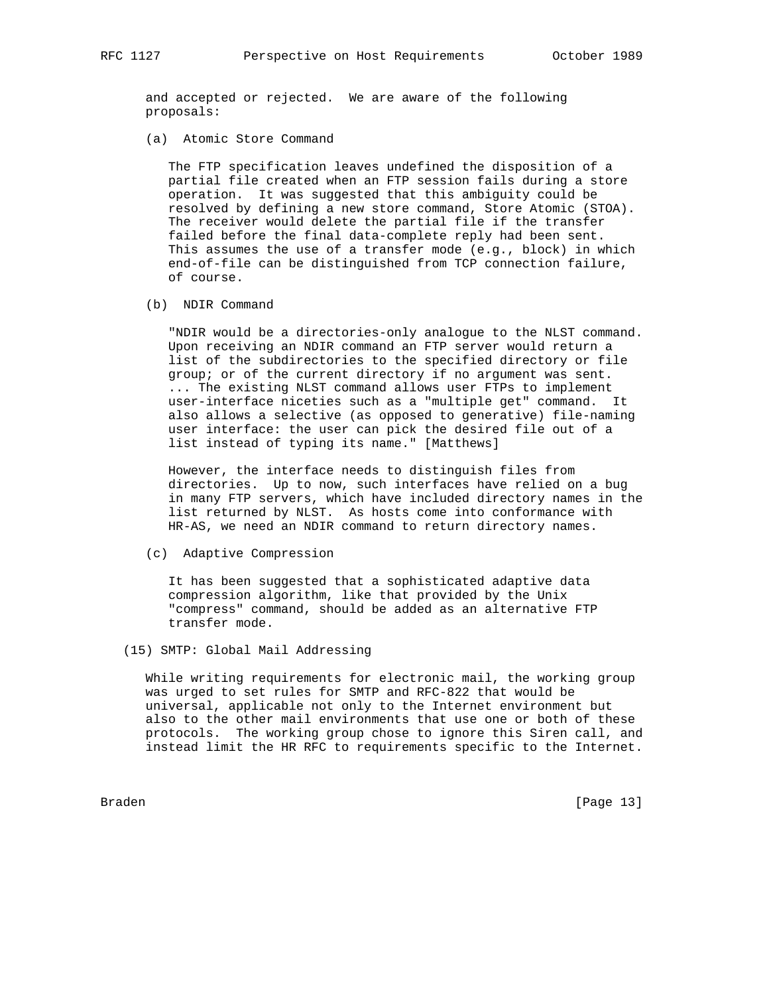and accepted or rejected. We are aware of the following proposals:

(a) Atomic Store Command

 The FTP specification leaves undefined the disposition of a partial file created when an FTP session fails during a store operation. It was suggested that this ambiguity could be resolved by defining a new store command, Store Atomic (STOA). The receiver would delete the partial file if the transfer failed before the final data-complete reply had been sent. This assumes the use of a transfer mode (e.g., block) in which end-of-file can be distinguished from TCP connection failure, of course.

(b) NDIR Command

 "NDIR would be a directories-only analogue to the NLST command. Upon receiving an NDIR command an FTP server would return a list of the subdirectories to the specified directory or file group; or of the current directory if no argument was sent. ... The existing NLST command allows user FTPs to implement user-interface niceties such as a "multiple get" command. It also allows a selective (as opposed to generative) file-naming user interface: the user can pick the desired file out of a list instead of typing its name." [Matthews]

 However, the interface needs to distinguish files from directories. Up to now, such interfaces have relied on a bug in many FTP servers, which have included directory names in the list returned by NLST. As hosts come into conformance with HR-AS, we need an NDIR command to return directory names.

(c) Adaptive Compression

 It has been suggested that a sophisticated adaptive data compression algorithm, like that provided by the Unix "compress" command, should be added as an alternative FTP transfer mode.

(15) SMTP: Global Mail Addressing

 While writing requirements for electronic mail, the working group was urged to set rules for SMTP and RFC-822 that would be universal, applicable not only to the Internet environment but also to the other mail environments that use one or both of these protocols. The working group chose to ignore this Siren call, and instead limit the HR RFC to requirements specific to the Internet.

Braden [Page 13]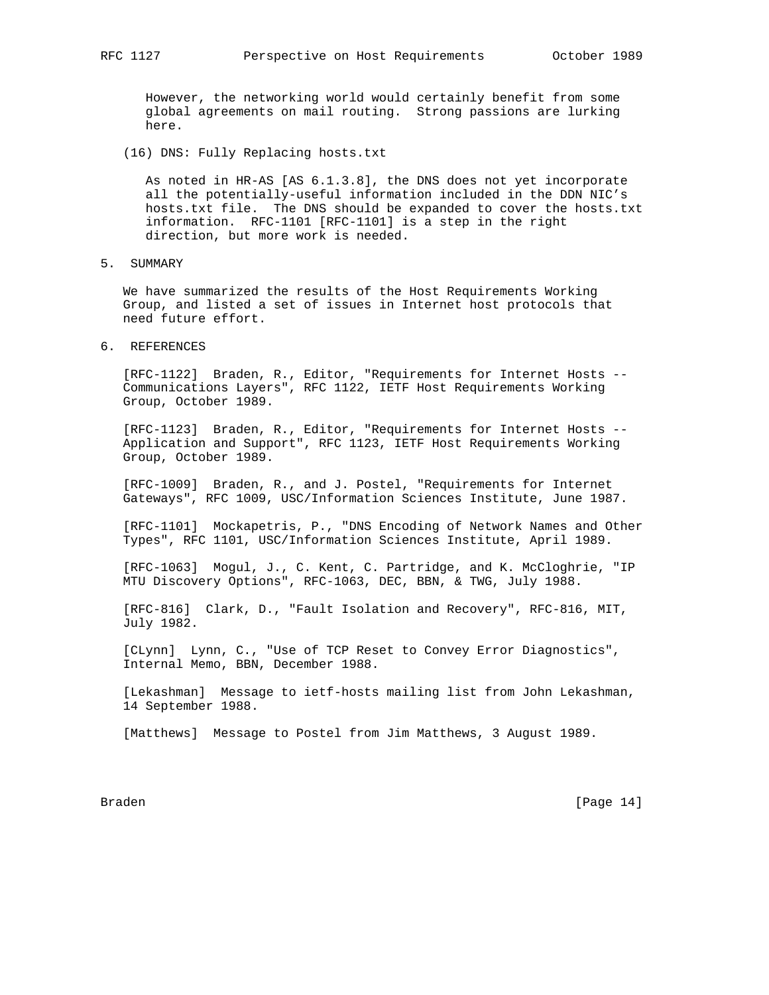However, the networking world would certainly benefit from some global agreements on mail routing. Strong passions are lurking here.

(16) DNS: Fully Replacing hosts.txt

 As noted in HR-AS [AS 6.1.3.8], the DNS does not yet incorporate all the potentially-useful information included in the DDN NIC's hosts.txt file. The DNS should be expanded to cover the hosts.txt information. RFC-1101 [RFC-1101] is a step in the right direction, but more work is needed.

5. SUMMARY

 We have summarized the results of the Host Requirements Working Group, and listed a set of issues in Internet host protocols that need future effort.

6. REFERENCES

 [RFC-1122] Braden, R., Editor, "Requirements for Internet Hosts -- Communications Layers", RFC 1122, IETF Host Requirements Working Group, October 1989.

 [RFC-1123] Braden, R., Editor, "Requirements for Internet Hosts -- Application and Support", RFC 1123, IETF Host Requirements Working Group, October 1989.

 [RFC-1009] Braden, R., and J. Postel, "Requirements for Internet Gateways", RFC 1009, USC/Information Sciences Institute, June 1987.

 [RFC-1101] Mockapetris, P., "DNS Encoding of Network Names and Other Types", RFC 1101, USC/Information Sciences Institute, April 1989.

 [RFC-1063] Mogul, J., C. Kent, C. Partridge, and K. McCloghrie, "IP MTU Discovery Options", RFC-1063, DEC, BBN, & TWG, July 1988.

 [RFC-816] Clark, D., "Fault Isolation and Recovery", RFC-816, MIT, July 1982.

 [CLynn] Lynn, C., "Use of TCP Reset to Convey Error Diagnostics", Internal Memo, BBN, December 1988.

 [Lekashman] Message to ietf-hosts mailing list from John Lekashman, 14 September 1988.

[Matthews] Message to Postel from Jim Matthews, 3 August 1989.

Braden [Page 14]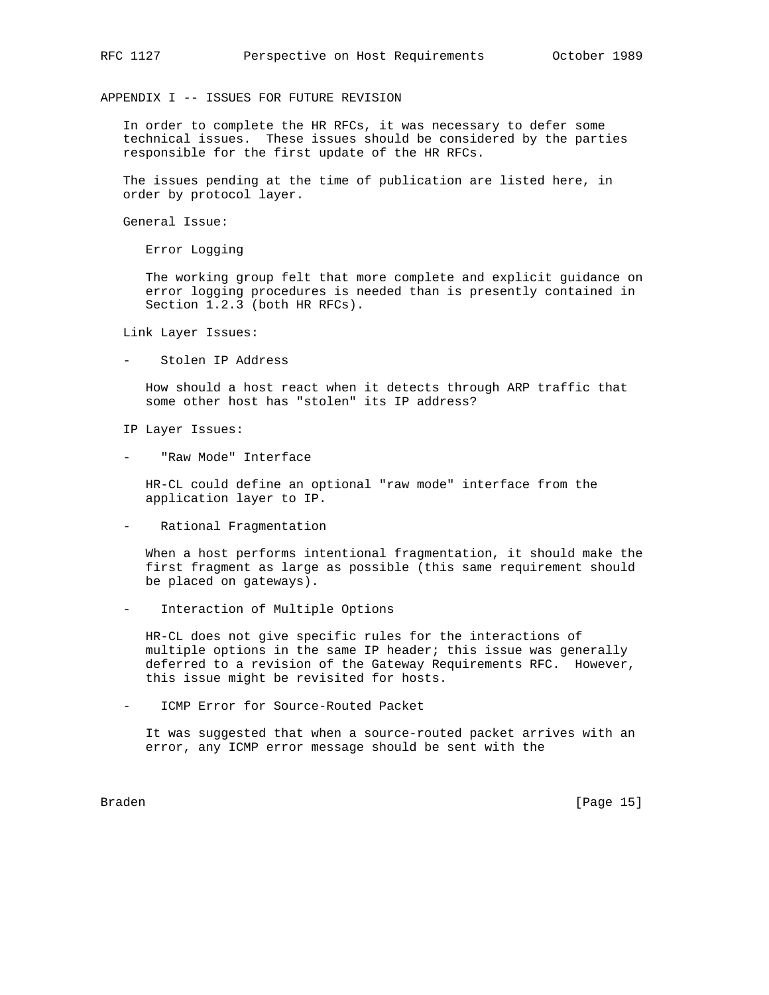APPENDIX I -- ISSUES FOR FUTURE REVISION

 In order to complete the HR RFCs, it was necessary to defer some technical issues. These issues should be considered by the parties responsible for the first update of the HR RFCs.

 The issues pending at the time of publication are listed here, in order by protocol layer.

General Issue:

Error Logging

 The working group felt that more complete and explicit guidance on error logging procedures is needed than is presently contained in Section 1.2.3 (both HR RFCs).

Link Layer Issues:

- Stolen IP Address

 How should a host react when it detects through ARP traffic that some other host has "stolen" its IP address?

IP Layer Issues:

"Raw Mode" Interface

 HR-CL could define an optional "raw mode" interface from the application layer to IP.

Rational Fragmentation

 When a host performs intentional fragmentation, it should make the first fragment as large as possible (this same requirement should be placed on gateways).

Interaction of Multiple Options

 HR-CL does not give specific rules for the interactions of multiple options in the same IP header; this issue was generally deferred to a revision of the Gateway Requirements RFC. However, this issue might be revisited for hosts.

ICMP Error for Source-Routed Packet

 It was suggested that when a source-routed packet arrives with an error, any ICMP error message should be sent with the

Braden [Page 15]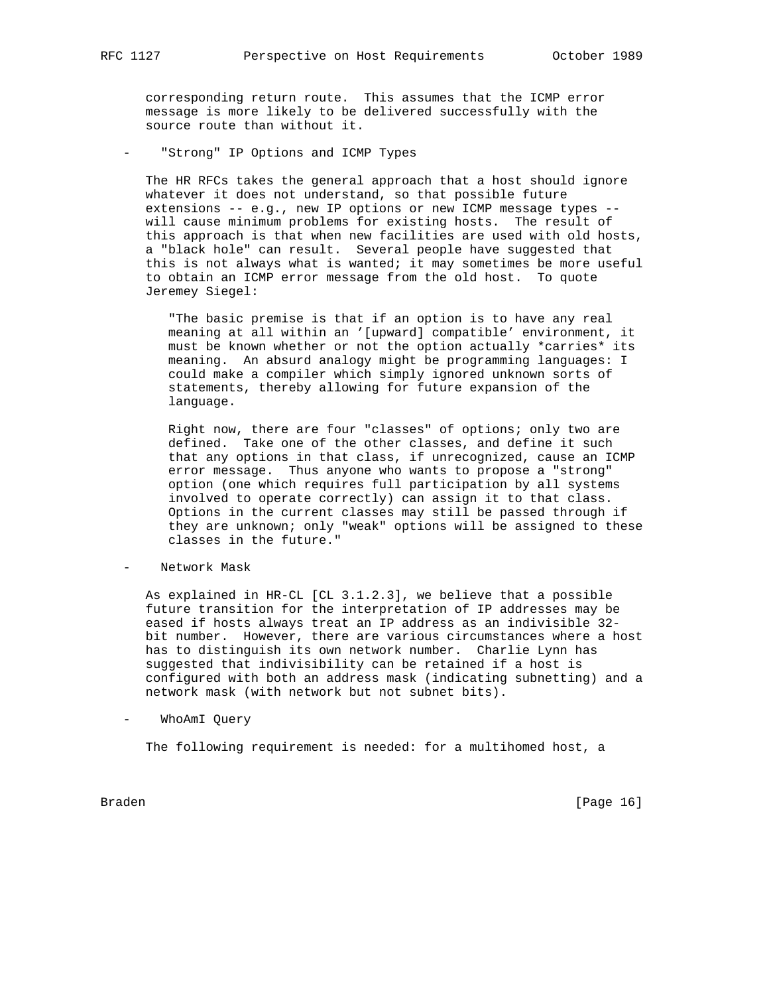corresponding return route. This assumes that the ICMP error message is more likely to be delivered successfully with the source route than without it.

"Strong" IP Options and ICMP Types

 The HR RFCs takes the general approach that a host should ignore whatever it does not understand, so that possible future extensions -- e.g., new IP options or new ICMP message types - will cause minimum problems for existing hosts. The result of this approach is that when new facilities are used with old hosts, a "black hole" can result. Several people have suggested that this is not always what is wanted; it may sometimes be more useful to obtain an ICMP error message from the old host. To quote Jeremey Siegel:

 "The basic premise is that if an option is to have any real meaning at all within an '[upward] compatible' environment, it must be known whether or not the option actually \*carries\* its meaning. An absurd analogy might be programming languages: I could make a compiler which simply ignored unknown sorts of statements, thereby allowing for future expansion of the language.

 Right now, there are four "classes" of options; only two are defined. Take one of the other classes, and define it such that any options in that class, if unrecognized, cause an ICMP error message. Thus anyone who wants to propose a "strong" option (one which requires full participation by all systems involved to operate correctly) can assign it to that class. Options in the current classes may still be passed through if they are unknown; only "weak" options will be assigned to these classes in the future."

Network Mask

 As explained in HR-CL [CL 3.1.2.3], we believe that a possible future transition for the interpretation of IP addresses may be eased if hosts always treat an IP address as an indivisible 32 bit number. However, there are various circumstances where a host has to distinguish its own network number. Charlie Lynn has suggested that indivisibility can be retained if a host is configured with both an address mask (indicating subnetting) and a network mask (with network but not subnet bits).

- WhoAmI Query

The following requirement is needed: for a multihomed host, a

Braden [Page 16]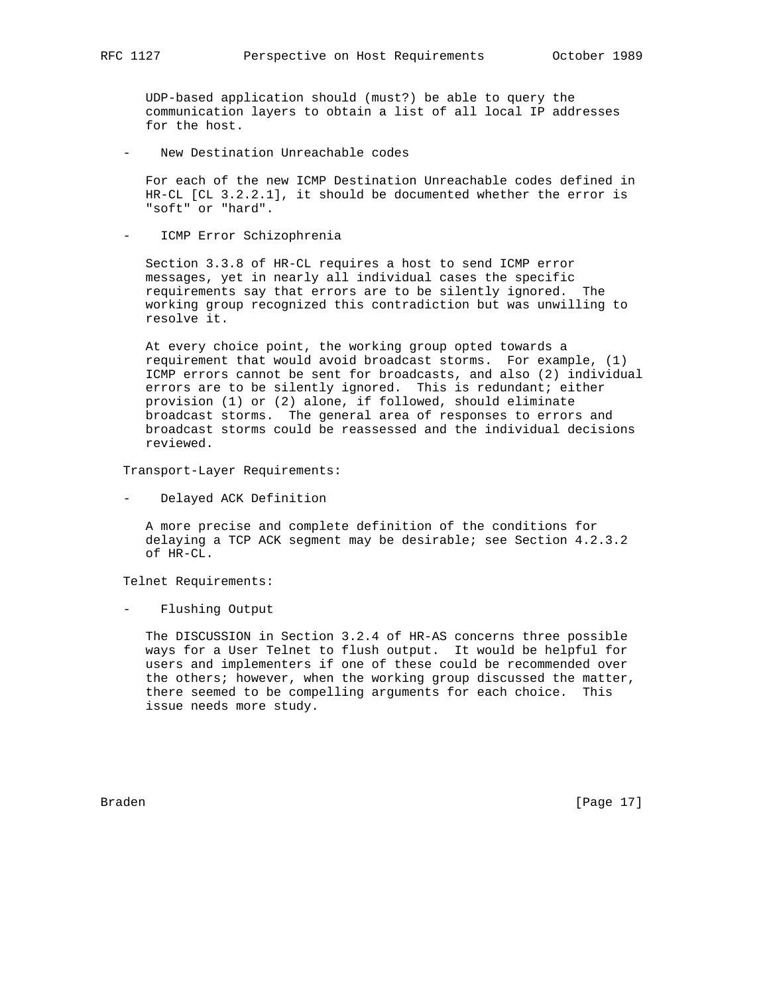UDP-based application should (must?) be able to query the communication layers to obtain a list of all local IP addresses for the host.

New Destination Unreachable codes

 For each of the new ICMP Destination Unreachable codes defined in HR-CL [CL 3.2.2.1], it should be documented whether the error is "soft" or "hard".

ICMP Error Schizophrenia

 Section 3.3.8 of HR-CL requires a host to send ICMP error messages, yet in nearly all individual cases the specific requirements say that errors are to be silently ignored. The working group recognized this contradiction but was unwilling to resolve it.

 At every choice point, the working group opted towards a requirement that would avoid broadcast storms. For example, (1) ICMP errors cannot be sent for broadcasts, and also (2) individual errors are to be silently ignored. This is redundant; either provision (1) or (2) alone, if followed, should eliminate broadcast storms. The general area of responses to errors and broadcast storms could be reassessed and the individual decisions reviewed.

Transport-Layer Requirements:

- Delayed ACK Definition

 A more precise and complete definition of the conditions for delaying a TCP ACK segment may be desirable; see Section 4.2.3.2 of HR-CL.

Telnet Requirements:

- Flushing Output

 The DISCUSSION in Section 3.2.4 of HR-AS concerns three possible ways for a User Telnet to flush output. It would be helpful for users and implementers if one of these could be recommended over the others; however, when the working group discussed the matter, there seemed to be compelling arguments for each choice. This issue needs more study.

Braden [Page 17]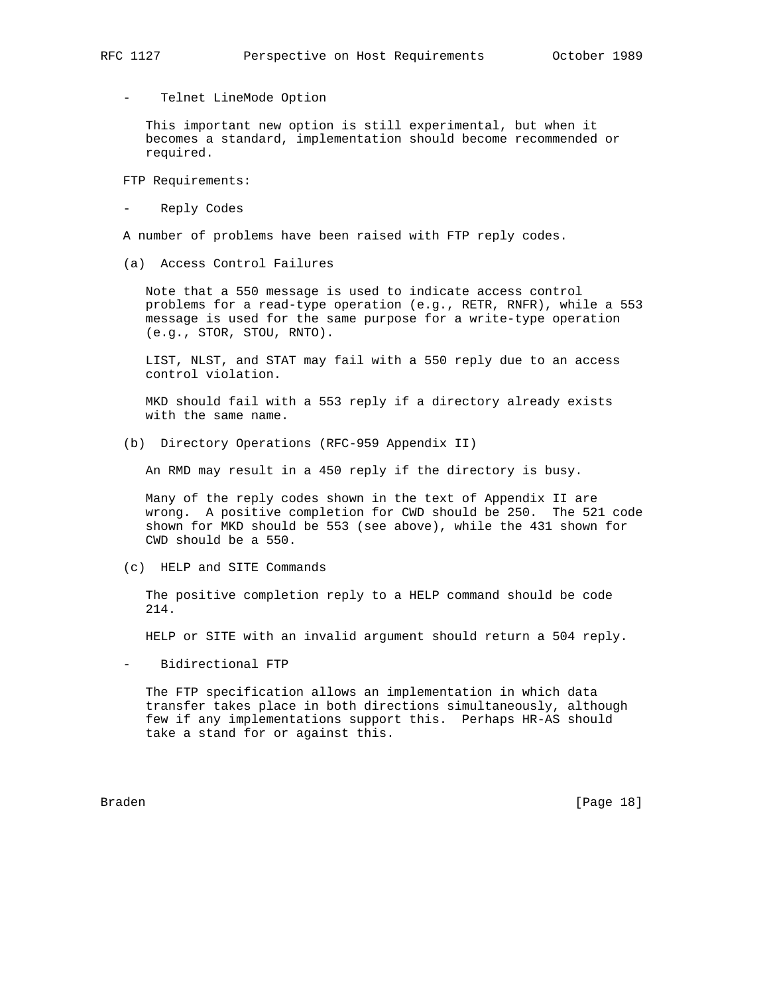Telnet LineMode Option

 This important new option is still experimental, but when it becomes a standard, implementation should become recommended or required.

FTP Requirements:

Reply Codes

A number of problems have been raised with FTP reply codes.

(a) Access Control Failures

 Note that a 550 message is used to indicate access control problems for a read-type operation (e.g., RETR, RNFR), while a 553 message is used for the same purpose for a write-type operation (e.g., STOR, STOU, RNTO).

 LIST, NLST, and STAT may fail with a 550 reply due to an access control violation.

 MKD should fail with a 553 reply if a directory already exists with the same name.

(b) Directory Operations (RFC-959 Appendix II)

An RMD may result in a 450 reply if the directory is busy.

 Many of the reply codes shown in the text of Appendix II are wrong. A positive completion for CWD should be 250. The 521 code shown for MKD should be 553 (see above), while the 431 shown for CWD should be a 550.

(c) HELP and SITE Commands

 The positive completion reply to a HELP command should be code 214.

HELP or SITE with an invalid argument should return a 504 reply.

- Bidirectional FTP

 The FTP specification allows an implementation in which data transfer takes place in both directions simultaneously, although few if any implementations support this. Perhaps HR-AS should take a stand for or against this.

Braden [Page 18]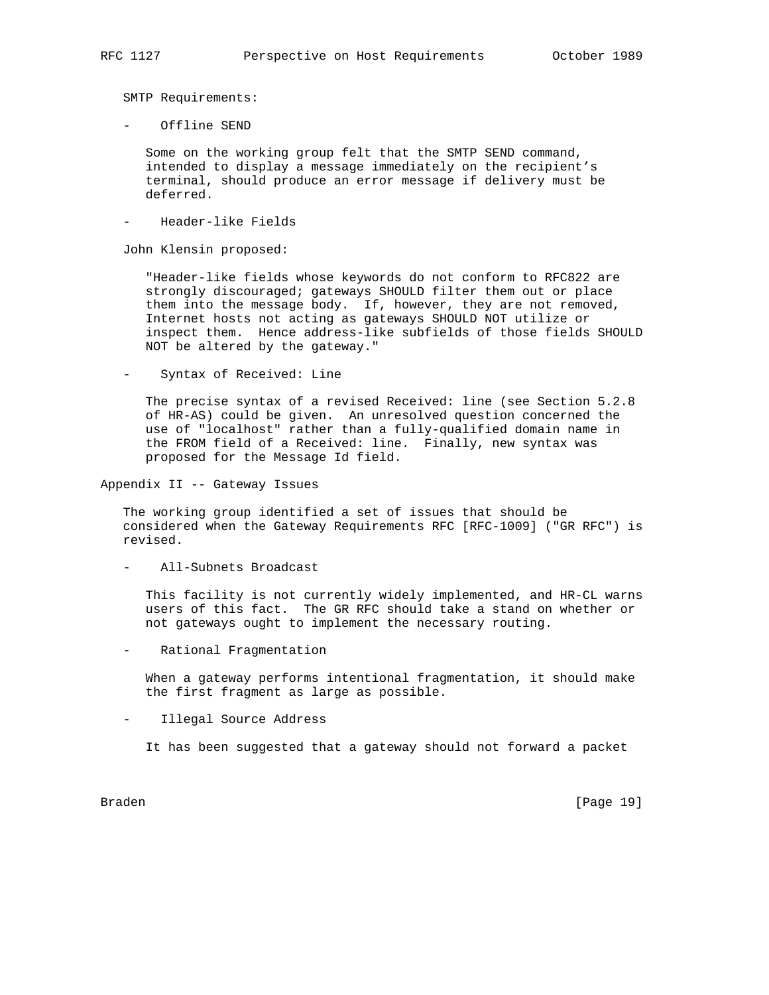SMTP Requirements:

- Offline SEND

 Some on the working group felt that the SMTP SEND command, intended to display a message immediately on the recipient's terminal, should produce an error message if delivery must be deferred.

Header-like Fields

John Klensin proposed:

 "Header-like fields whose keywords do not conform to RFC822 are strongly discouraged; gateways SHOULD filter them out or place them into the message body. If, however, they are not removed, Internet hosts not acting as gateways SHOULD NOT utilize or inspect them. Hence address-like subfields of those fields SHOULD NOT be altered by the gateway."

- Syntax of Received: Line

 The precise syntax of a revised Received: line (see Section 5.2.8 of HR-AS) could be given. An unresolved question concerned the use of "localhost" rather than a fully-qualified domain name in the FROM field of a Received: line. Finally, new syntax was proposed for the Message Id field.

Appendix II -- Gateway Issues

 The working group identified a set of issues that should be considered when the Gateway Requirements RFC [RFC-1009] ("GR RFC") is revised.

- All-Subnets Broadcast

 This facility is not currently widely implemented, and HR-CL warns users of this fact. The GR RFC should take a stand on whether or not gateways ought to implement the necessary routing.

Rational Fragmentation

 When a gateway performs intentional fragmentation, it should make the first fragment as large as possible.

- Illegal Source Address

It has been suggested that a gateway should not forward a packet

Braden [Page 19]